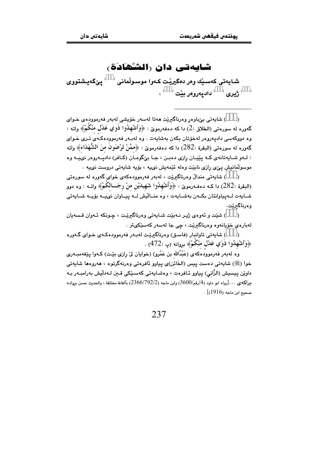## شايەتى دان رالشگادَة،

شابەتى كەسىلە وەر دەگيرنت كەوا موسولمانى `` يىگەبشتووي  $\mathcal{L}^{(n)}$ ژيري $\mathcal{L}^{(n)}$ داديەروەر بێت  $\mathcal{L}^{(n)}$ 

) شايەتى بېْباوەر وەرناگىرىت ھەتا لەسەر خۆپشى لەبەر فەرموودەي خـواي  $\lambda$ گەورە لە سورەتىي (الطلاق :2) دا كە دەڧەرموێ : ﴿وَأَشْهِلُوا ذُوي عَدْل مْنْكُمْ﴾ واتە : وه دووکهسی دادیهروهر لهخۆتان بکهن بهشایهت . وه لهبـهر فهرموودهکـهٔی تـری خـوای گەورە لە سورەتى (البقرة :282) دا كە دەفەرموێ : ﴿ممَّنْ تَرْضَونَ منَ الشُّهَدَاءِ﴾ واتە : لـهو شـايهتانهي كـه يێيـان رازي دهبـن ، جـا بيِّگومـان (كـافر) داديـهروهر نىيـه وه موسولْمانیش یےٖی رازی نابیّت وہله ئێمهیش نی به ، بۆپه شابهتی دروست نی به .

) شايەتى مندالٌ وەرناگىريْت ، لەبەر فەرموودەكەي خواي گەورە لە سورەتى  $\lambda$ (البقرة :282) دا كـه دەڧـەرموێ : ﴿وَأَشْهِدُوا شَهِيدَيْنِ منْ رجَـــالكُمْ﴾ واتــه : وه دوو شبايهت ليهياوانتان بكيهن بهشبايهت ، وه منباليش ليه پيپاوان نىييه بۆييە شبايەتى وەرناگىرێت.

) شٽت و ئەوەي ژيېر نـەيٽت شـابەتى وەرناگىرێت ، چـونكە ئـەوان قـسەبان  $\lambda$ لەبارەي خۆيانەوە وەرناگىرێت ، چى جا لەسەر كەسێكىتر .

) شايەتى تاوانبار (فاسق) وەرناگیریت لەبەر فەرموودەكەي خـواي گـەورە  $\rightarrow$ ﴿وَأَنشَّهْدُوا ذَوَى عَدْلِ مِنْكُمْ﴾ بروانه (پ :472) .

.<br>وَه له به ر فه رموودٌ هَكهى (عَبْدُالله بن عَمْرو) (خوايان لى پارى بێت) كـهوا پێغهمبـهرى خوا (ﷺ) شايەتى دەست ييس (الخَائن)ى يياوو ئافرەتى وەرنەگرتوە ، ھەروەھا شايەتى داوێن پیسیش (الزَّانی) پیاوو ئـافرەت ، وەشـاپەتى كەسـێكى قـین لـەدڵیش بەرامبـەر بـە  $\mu$ براكه $_2 \ldots$ رواه ابو داود (4/رقم/3600) وابن ماجه (2366/792/2) بألفاظ مختلفة ، والحديث حسن بروانـه مبحث ابن ماجه (1916)].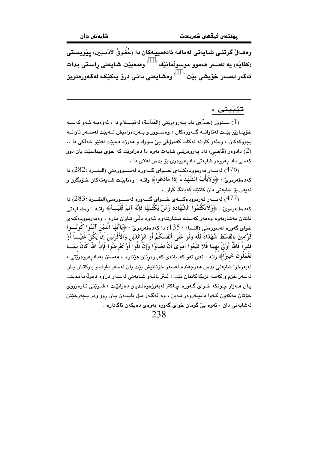وههـهلْ گرتنـي شـايـهتي لـهمافـه ئادهمييـهكان دا (حُقُـوقُ الآدَمـيـن) يـيْويـستي (كفَايَه) يه لەسەر ھەموو موسولْمانێك $\langle\quad\rangle$ وەدەبێت شايەتى راستى بدات ئەگەر لەسەر خۆيشى بێت <sup>‹ )</sup> وەشايەتى دانى درۆ يەكێكە لەگەورەترين

## تێبيني :

سـنوور (حـدّ)ى داد پـــهروەرێتى (العَدَالَــة) لـهئپــسلام دا ، ئـهوەپــه ئــهو كـهســه  $(1)$ خۆيــارێز بێـت لەتاوانــە گــەورەكان ، وەســوور و بــەردەواميش نــەبێت لەســەر تاوانــە بچووکهکان ، وهئهو کارانه نهکات کهمرۆڤی ییّ سووك و ههرزه دهبێت لهنێو خهڵکی دا .. دادوهر (قَاضـي) داد پـهروهرێتي شاپهت بـهوه دا دهزانرێت که خۆی بيناسێت يان دوو ( كەسى داد يەروەر شايەتى داديەروەرى بۆ بدەن لەلاي دا .

لەبسەر فەرموودەكسەي خسواي گسەورە لەسسوورەتى (البقسرة :282) دا $(282:$  دا $(476)$ كەدەفەرمويّ : ﴿وَلاَيَأْبَ الشُّهَدَاءُ إِذَا مَادْعُوا﴾ واتـه : وەنابێت شـايەتەكان خـۆبگرن و نەبەن بۆ شابەتى دان كاتتك كەبانگ كران .

(477) لەيسەر فەرموودەكسەي خىبواي گەورە لەسسورەتى(الىقىرة :283) دا كەدەڧەرموێ : ﴿وَلاتَكْتُمُوا الشَّهَادَةَ وَمَنْ يَكْتُمْهَا فَإِنَّهُ آثمٌ قَلْبُـــهُ﴾ واتــه : وهشـايـەتى دانتان مەشارنەوە وەھەر كەسێك بيشارێتەوە ئـەوە دڵى تـَاوان بـارە . وەڧەرموودەكـەي خواي گەورە لەسورەتى (النساء : 135) دا كەدەفەرمويّ : ﴿يَاأَيُّهَا الَّذِيْنَ آمَنُوا كُونُـــوا قَوَّامِينَ بالقسْط شُهَدَاءَ للّه وَلَو عَلَى أَنْفُسكُمُ أَو الوَالدَيْنِ وَالأَقْرَبيْنَ إِنْ يَكُنْ غَنيَّــاً أَوْ فَقيراً فَاللَّهُ أَوْلَىَ بِهِمَا فَلاَ تَتَّبَعُوا الهَوَى أَنْ تَعْدلُوُا وَإِنْ تَلُوا أَوْ تُعْرضُوا فَإِنَّ اللهَ كَانَ بمَـــا تَعْمَلُونَ خَبيرَاَ﴾ واته : ئەي ئەو كەسانەي كەباوەرتان ھێناوە ، ھەستن بەداديەروەرێتى ، لەبەرخوا شايەتى بدەن ھەرچەندە لەسەر خۆتانيش بێت يان لەسەر دايك و باوكتـان يـان لەسەر خزم و كەسە نزيكەكانتان بێت ، ئيتر بائـەو شـايەتى لەسـەر دراوە دەولەمەنـدبێت يان هـهژار چونکه خـواى گـهوره چـاکتر لهبهرژهوهنديان دهزانێت ، شـوێنى ئـارهزووى خۆتان مەكەون كـەوا داديــەروەر نــەبن ، وە ئەگـەر مـل بابـدەن يـان روو وەر بـچەرخێنن لەشايەتى دان ، ئەوە بىّ گومان خواي گەورە بەوەي دەيكەن ئاگادارە .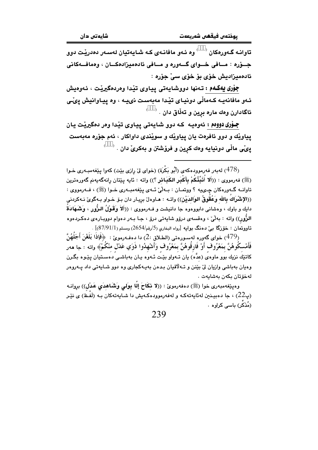تاوانـه گـهورهکان <sup>( )</sup> وه ئـهو مافانـهى کـه <mark>شـاي</mark>هتيان لهسـهر دهدريـّت دوو جسؤره : مسافي خسواي گسەورە و مسافي ئادەمىزادەكسان ، وەمافسەكانى ئادەمىزادىش خۆي بۆ خۆي سے حۆرە :

جۆرى يەكـەم : تـەنھا دووشايـەتى ييـاوى تێدا وەردەگيرێت ، ئـەوەيش ئـهو مافانهيـه كـهمالّى دونيـاي تێدا مهبهست نىيـه ، وه ييـاوانيش يىّـى ئاگادارن وهك ماره برين و تهڵاق دان . <sup>( \_\_ )</sup>

جـوْري دووهم : ئەوەپـه كـه دوو شـايەتى پيـاوى تيْدا وەر دەگيريْت يـان پیاویّك و دوو ئافرەت یان پیاویّك و سویْندى داواكار ، ئەم جۆرە مەبەست پىِّى مالّى دونيايه وهك كړين و فرۆشتن و بهكرىِّ دان . <sup>(</sup>

<sup>(478)</sup> لهبهر فهرموودهكهي (أَبُو بَكْرَة) (خواي ليّ رازي بيّت) كهوا يێغهمبـهري خـوا (ﷺ) فەرمووى : ((أَلا أُنَبِّئُكُمْ بِأَكْبَرِ الكَبَائر ؟)) واته : ئايه يێتان رانەگەيەنم گەورەترين تاوانــه گــهورهکان چــِي.په ؟ ووتمــان : بــهلّيٰ ئــهي پێغهمبــهري خــوا (ﷺ) ، فــهرمووي : ((الإشْرَاكُ بِالله وَعُقُوقُ الوَالدَيْنِ)) واتـه : هـاوهلْ بريـار دان بـوّ خـواو بـه گویْ نـهكردنی دايك و باوك ، وهشاني دابووهوه جا دانيشت و فــهرمووي : ((أَلاَ وَقَـوْلُ الـزُّور ، وَشَـهَادَةُ الزُّور)) واته : بەلْيٌ ، وەقسەي درۆو شايەتى درۆ ، جـا بـەر دەوام دووبـارەي دەكـردەوە ۔<br>**تاووتمان : خۆزگا بے** د**ہنگ بوایه** [رواہ البخاری (5/رقم/2654) ومسلم (87/91/1)] .

<sup>(479)</sup> خواي گەورە لەسبورەتى (الطـلاق :2) دا دەڧـەرموێ : ﴿فَإِذَا بَلَغْنَ أَجَلَهُنَّ فَأَمْسكُوهُنَّ بِمَعْرُوفٍ أَوْ فَارِقُوهُنَّ بِمَعْرُوفٍ وَأَشْهِلُوا ذَوَي عَدْلٍ مِنْكُمْ﴾ واته : جا مەر کاتێك نزيك بوو ماوهى (عدَّه) يان تـهواو بێت ئـهوه يـان بهباشـي دهسـتيان يێـوه بگـرن وهيان بهباشي وازيان ليٌ بيِّنن و تـه لاقيان بـدهن بهيـهكجاري وه دوو شـايهتي داد پـهروهر لەخۆتان بكەن بەشايەت .

وهيێغەمبەرى خوا (ﷺ) دەفەرموێ : ((لا نكَاحَ إِلَّا بِوَلَى وَشَاهدَى عَدْلٍ)) بروانـه (پے22) ، جا دەبپـنـن لەئابەتەكـە و لەفەرموودەكـەبش دا شـابەتەكان بـە (لَفـظ) ي نێـر (مُذَکِّر) باسی کراوه ۰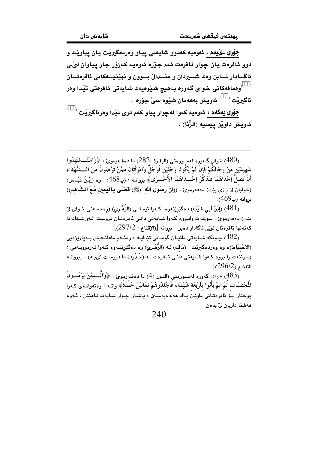جوْري سِيُلِيهُمْ : ئەوەپە كەدوق شايەتى پياو وەردەگیریْت يان پياویْك و دوو ئافرەت يان چوار ئافرەت ئـهم جۆرە ئەوەيـه كـەزۆر جار يياوان لىْي ئاگــادار نـــابن وهك شـــــــيردان و منــــدالٌ بــــوون و نهيّنيــــهكاني ئافرهتـــان <sup>)</sup>وهمافهکانی خوای گـهوره بـههیچ شـێوهیهك شـایـهتی ئـافرهتی تێدا وهر ناگيريْت<sup> ( )</sup> ئەويش بەھەمان شێوە سى**ٚ جۆرە** .

جوْري يهكهم : ئەوەيە كەوا لەچوار يياو كەم ترى تێدا وەرناگيرێت <sup>(</sup> ئەويش داوين ييسيە (الزِّنَا) .

خواي گـهوره لهسـورهتي (البقـرة :282) دا دهفـهرمويّ : ﴿وَاسْتَـــشْهِدُوا  $(480)$ شَهيدَيْن منْ رجَالكُمْ فَإنْ لَمْ يَكُونَا رَجُلَيْن فَرَجُلٌ وَامْرَأَتَان ممَّنْ تَرْضَونَ منَ الـــشُّهََدَاء أَنْ تَصْلُّ إَحْدَاهُمَا فَتُذَكَّرَ إحْـــدَاهُمَا الأُخْــرَى﴾ بروانــه : (بِ468) . وه (إِنْـنُ عَيَّـاس) (خواياُن لِيّ رازِي بيّت) دەفەرموێ : ((أَنَّ رَسُولَ الله ۚ (ﷺ) قَضَى بِـاليَمين مَـعَ الـشَّاهد)) ىروانە (پ469).

(481) (إِبْنُ أَبِي شَيْبَة) دەگێرێتەوە كـەوا ئىمـامى (الزُّهْـرى) (رەحمـەتى خـواي ليّ بيّت) دەفەرموێ : سوننەت وابووە كەوا شايەتى دانىي ئافرەتان دروستە لـەو شتانەدا  $\sim [297/2:1]$ كەتەنھا ئافرەتان لىڭى ئاگادار دەبن . بروانە  $[297/2:1]$ 

جونکه شبابهتی دانیـان گومـانی تێدابـه ، وهئـهم مافانـهبش بـهبارێزهبی جوبکه شبابهتی دانیـان گومـانی  $(482)$ (الاحْتيَاط)ه وه وهردهگيريّت . (مَالك) لـه (الزُّهْـري) وه دهگيْريّتـهوه كـهوا فهرموويـهتي : (سوننهت وا بووه کـهوا شـايهتي دانـي ئـافرهت لـه (حُـدُود) دا دروسـت نىيـه) . [بروانـه  $[296/2)$  الاقناع

(483) حواى گەورە لەسىورەتى (النـور :4) دا دەفـەرموئ : ﴿وَالَّـــٰذِيْنَ يَرْمُـــونَ الْمَحْصَنَات ثُمَّ لَمْ يَأْتُوا بِأَرْبَعَة شُهَدَاءَ فَاجْلِدُوهُمْ ثَمَانِيْنَ جَلْدَةً﴾ وإت $\cdot$  : وهئهوانيهي كيهوا يوختان بِيْ ئافرەتـانى داويْـن يـاك ھەلدەبەسـتن ، ياشـان چـوار شـايەت نـاھێنن ، ئـەوە ھەشتا داريان لِّ بدەن ،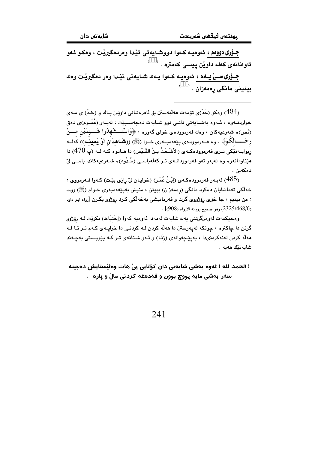جــۆری دووهم : ئەوەپــە كـەوا دووشـايـەتى تێـدا وەردەگیرێـت ، وەكـو ئـەو .<br>تاوانانەي كەلە داوٽن بېسى كەمترە

جــۆری ســیْ یــهم : ئەوەیــه کــەوا یــەك شــایـەتى تیّـدا وەر دەگیریّـت وەك  $^\circ$ . بينيني مانگي رەمەزان

ومکو (جَدّ)ی تۆمەت ھەلبەستن بۆ ئافرەتـانى داويين يـاك و (جَدّ) ی مـەی ( $\langle 484\rangle$ خواردنــهوه ، ئــهوه بهشــايهتى دانــى دوو شــايهت دهچهســيێت ، لهبـهر (عُمُــوم)ى دهق (نَص)ه شەرعيەكان ، وەك فەرموودەي خواي گەورە : ﴿وَاسْتَـــشْهْدُوا شَــــهِدَيْنِ مــــنْ رجَـــــالكُمْ﴾ . وه فــه(موودهى يَيْغهمبــه(رى خــوا (ﷺ) ((تشَـاهدَانْ أَوْ يَمينــه)) كهلــه ريوايــه-تێكي تــري فهرموودهكــهي (الأشْـعَثُ بــِنُ القَـيْس) دا هــاتوه كــه لــه (پ 470) دا مێناومانەوە وە لەبەر ئەو فەرموودانـەي تـر كەلەباسـى (حُـدُود)ە شـەرعيەكاندا باسـى لِيّ دەكەين .

(485) لەبـەر فەرموودەكـەي (إِبْنُ عُمَـر) (خوايـان لِيْ رازي بِيّـت) كـەوا فـەرمووي : خەلكى تەماشايان دەكرد مانگى (رەمەزان) بېينن ، منيش بەيێغەمبەرى خىوام (ﷺ) ووت : من بينيم ، جا خوّي رۆژووي گرت و فهرمانيشي بهخهاٽکي کـرد رۆژوو بگـرن [رواه ابـو داود  $(2325/468/6)$ . وهو صحيح بروانه الأرواء (908)

وهحيكمهت لەوەرگرتنى يەك شايەت لەمەدا ئەوەيە كەوا (إحْتيَاط) بكرێت لــﻪ رۆژوو گرتن دا چاکتره ، چونکه لهیهرستن دا مهڵه کردن لـه کردنـی دا خرایـهى کـهم تـر تـا لـه مەلّە كردن لەنەكردنىدا ، بەيێچەوانەى (زنَـا) و ئـەو شـتانەى تـر كـە يێويـستى بەچـەند شايەتێك ھەيە .

( الحمد لله ) ئەوە بەشى شايەتى دان كۆتايى يىْ ھات وەئىستايش دەچينە سەر بەشى مايە پووچ بوون و قەدەغە كردنى مالْ و پارە .